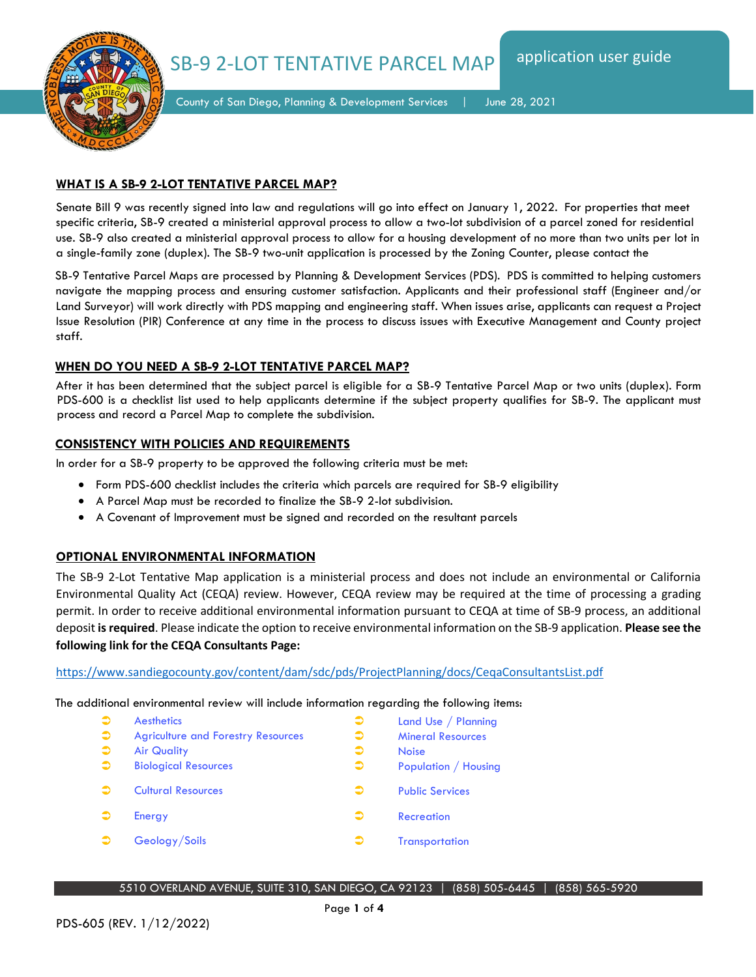SB-9 2-LOT TENTATIVE PARCEL MAP



County of San Diego, Planning & Development Services | June 28, 2021

## **WHAT IS A SB-9 2-LOT TENTATIVE PARCEL MAP?**

Senate Bill 9 was recently signed into law and regulations will go into effect on January 1, 2022. For properties that meet specific criteria, SB-9 created a ministerial approval process to allow a two-lot subdivision of a parcel zoned for residential use. SB-9 also created a ministerial approval process to allow for a housing development of no more than two units per lot in a single-family zone (duplex). The SB-9 two-unit application is processed by the Zoning Counter, please contact the

SB-9 Tentative Parcel Maps are processed by Planning & Development Services (PDS). PDS is committed to helping customers navigate the mapping process and ensuring customer satisfaction. Applicants and their professional staff (Engineer and/or Land Surveyor) will work directly with PDS mapping and engineering staff. When issues arise, applicants can request a Project Issue Resolution (PIR) Conference at any time in the process to discuss issues with Executive Management and County project staff.

# **WHEN DO YOU NEED A SB-9 2-LOT TENTATIVE PARCEL MAP?**

After it has been determined that the subject parcel is eligible for a SB-9 Tentative Parcel Map or two units (duplex). Form PDS-600 is a checklist list used to help applicants determine if the subject property qualifies for SB-9. The applicant must process and record a Parcel Map to complete the subdivision.

# **CONSISTENCY WITH POLICIES AND REQUIREMENTS**

In order for a SB-9 property to be approved the following criteria must be met:

- Form PDS-600 checklist includes the criteria which parcels are required for SB-9 eligibility
- A Parcel Map must be recorded to finalize the SB-9 2-lot subdivision.
- A Covenant of Improvement must be signed and recorded on the resultant parcels

## **OPTIONAL ENVIRONMENTAL INFORMATION**

The SB-9 2-Lot Tentative Map application is a ministerial process and does not include an environmental or California Environmental Quality Act (CEQA) review. However, CEQA review may be required at the time of processing a grading permit. In order to receive additional environmental information pursuant to CEQA at time of SB-9 process, an additional deposit **is required**. Please indicate the option to receive environmental information on the SB-9 application. **Please see the following link for the CEQA Consultants Page:**

<https://www.sandiegocounty.gov/content/dam/sdc/pds/ProjectPlanning/docs/CeqaConsultantsList.pdf>

The additional environmental review will include information regarding the following items:

| $\Rightarrow$ | <b>Aesthetics</b>                         | $\bullet$ | Land Use / Planning      |
|---------------|-------------------------------------------|-----------|--------------------------|
| $\bullet$     | <b>Agriculture and Forestry Resources</b> | €         | <b>Mineral Resources</b> |
| $\Rightarrow$ | <b>Air Quality</b>                        | $\bullet$ | <b>Noise</b>             |
| $\bullet$     | <b>Biological Resources</b>               | $\bullet$ | Population / Housing     |
|               | <b>Cultural Resources</b>                 | ∍         | <b>Public Services</b>   |
|               | Energy                                    | ∍         | <b>Recreation</b>        |
|               | Geology/Soils                             | ∍         | <b>Transportation</b>    |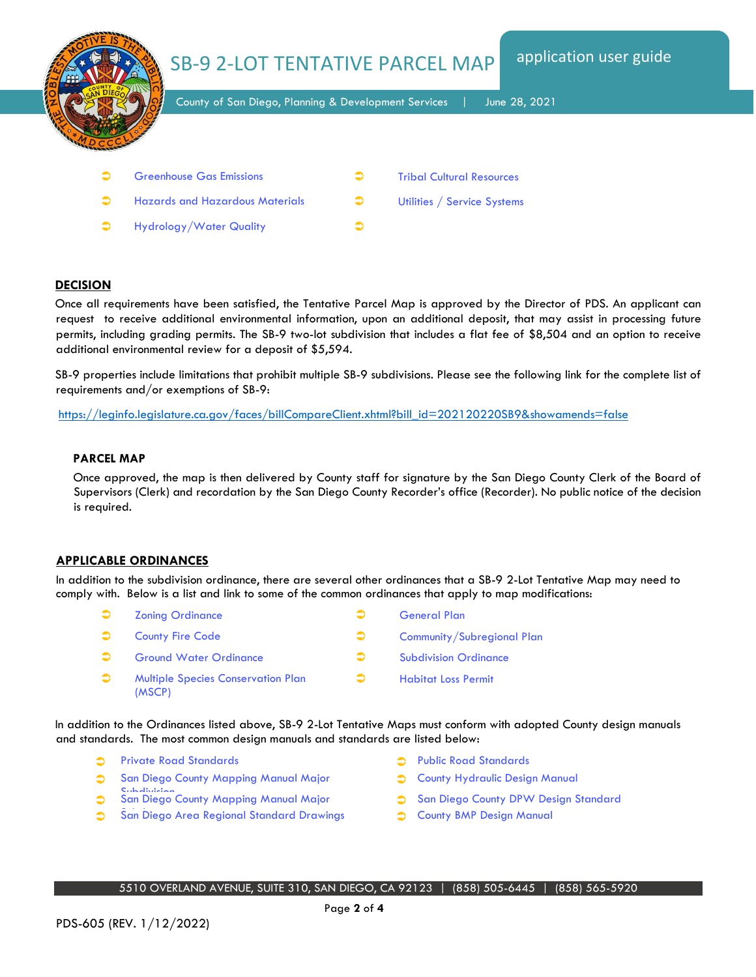

**C** Hazards and Hazardous Materials **C** Utilities / Service Systems  $\bullet$  Hydrology/Water Quality  $\bullet$ 

### **DECISION**

Once all requirements have been satisfied, the Tentative Parcel Map is approved by the Director of PDS. An applicant can request to receive additional environmental information, upon an additional deposit, that may assist in processing future permits, including grading permits. The SB-9 two-lot subdivision that includes a flat fee of \$8,504 and an option to receive additional environmental review for a deposit of \$5,594.

SB-9 properties include limitations that prohibit multiple SB-9 subdivisions. Please see the following link for the complete list of requirements and/or exemptions of SB-9:

[https://leginfo.legislature.ca.gov/faces/billCompareClient.xhtml?bill\\_id=202120220SB9&showamends=false](https://leginfo.legislature.ca.gov/faces/billCompareClient.xhtml?bill_id=202120220SB9&showamends=false)

#### **PARCEL MAP**

Once approved, the map is then delivered by County staff for signature by the San Diego County Clerk of the Board of Supervisors (Clerk) and recordation by the San Diego County Recorder's office (Recorder). No public notice of the decision is required.

#### **APPLICABLE ORDINANCES**

In addition to the subdivision ordinance, there are several other ordinances that a SB-9 2-Lot Tentative Map may need to comply with. Below is a list and link to some of the common ordinances that apply to map modifications:

- **Contact Contact Contact Contact Contact Contact Contact Contact Contact Contact Contact Contact Contact Contact Contact Contact Contact Contact Contact Contact Contact Contact Contact Contact Contact Contact Contact Conta**
- **County Fire Code Community/Subregional Plan**
- **C** Ground Water Ordinance **Subdivision Ordinance** Subdivision Ordinance
- **3** Multiple Species Conservation Plan (MSCP)

In addition to the Ordinances listed above, SB-9 2-Lot Tentative Maps must conform with adopted County design manuals and standards. The most common design manuals and standards are listed below:

- Private Road Standards **Community Public Road Standards**
- [San Diego County Mapping Manual](https://www.sandiegocounty.gov/content/dam/sdc/pds/LandDevelopement/mapprocessing.pdf) Major
- **Subdivision**<br> **[San Diego](https://www.sandiegocounty.gov/content/dam/sdc/pds/LandDevelopement/mapprocessing.pdf) County Mapping Manual Major**
- [San Diego](https://www.sandiegocounty.gov/content/dam/sdc/pds/LandDevelopement/parcelmap.pdf) [Area Regional Standard Drawings](http://www.regional-stds.com/home/book/drawings) **System Standard Drawings** [County B](https://www.sandiegocounty.gov/content/dam/sdc/dpw/ENGINEERING_SERVICES/engineerpdf/designstds.pdf)[MP Design Manual](https://www.sandiegocounty.gov/content/dam/sdc/dpw/WATERSHED_PROTECTION_PROGRAM/watershedpdf/Dev_Sup/BMPDM_Complete_Sep2020.pdf)
- 

Habitat Loss Permit

- **[County Hydraulic Design Manual](https://www.sandiegocounty.gov/content/sdc/dpw/flood/drainage.html)**
- San Diego County DPW Design Standard
-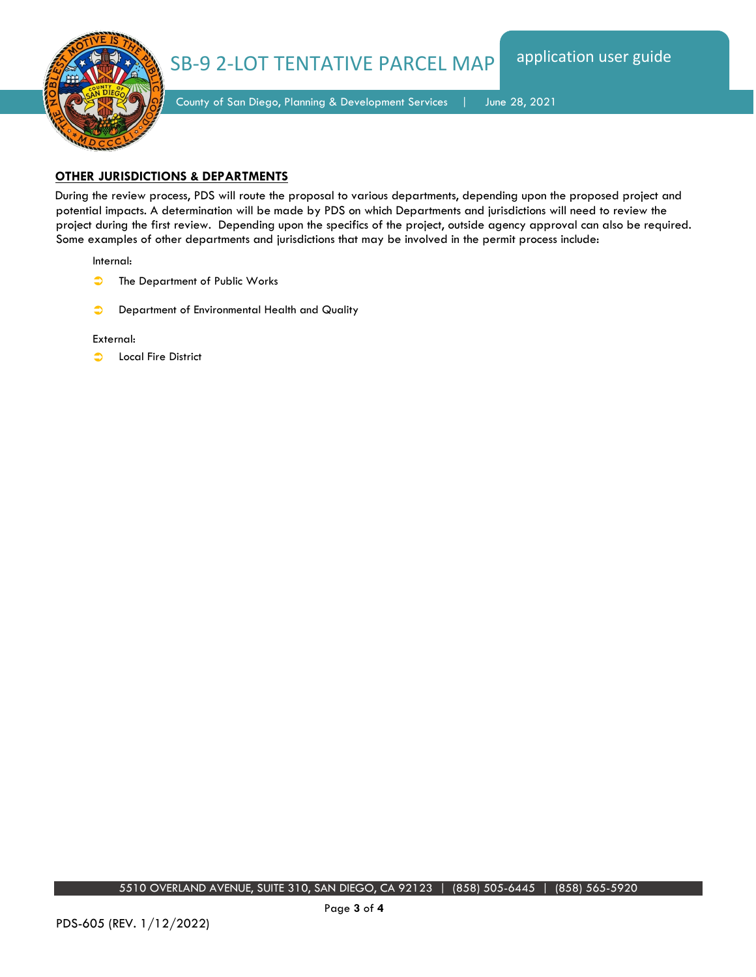



County of San Diego, Planning & Development Services | June 28, 2021

## **OTHER JURISDICTIONS & DEPARTMENTS**

During the review process, PDS will route the proposal to various departments, depending upon the proposed project and potential impacts. A determination will be made by PDS on which Departments and jurisdictions will need to review the project during the first review. Depending upon the specifics of the project, outside agency approval can also be required. Some examples of other departments and jurisdictions that may be involved in the permit process include:

Internal:

- **The Department of Public Works**
- **Department of Environmental Health and Quality**

#### External:

**C** Local Fire District